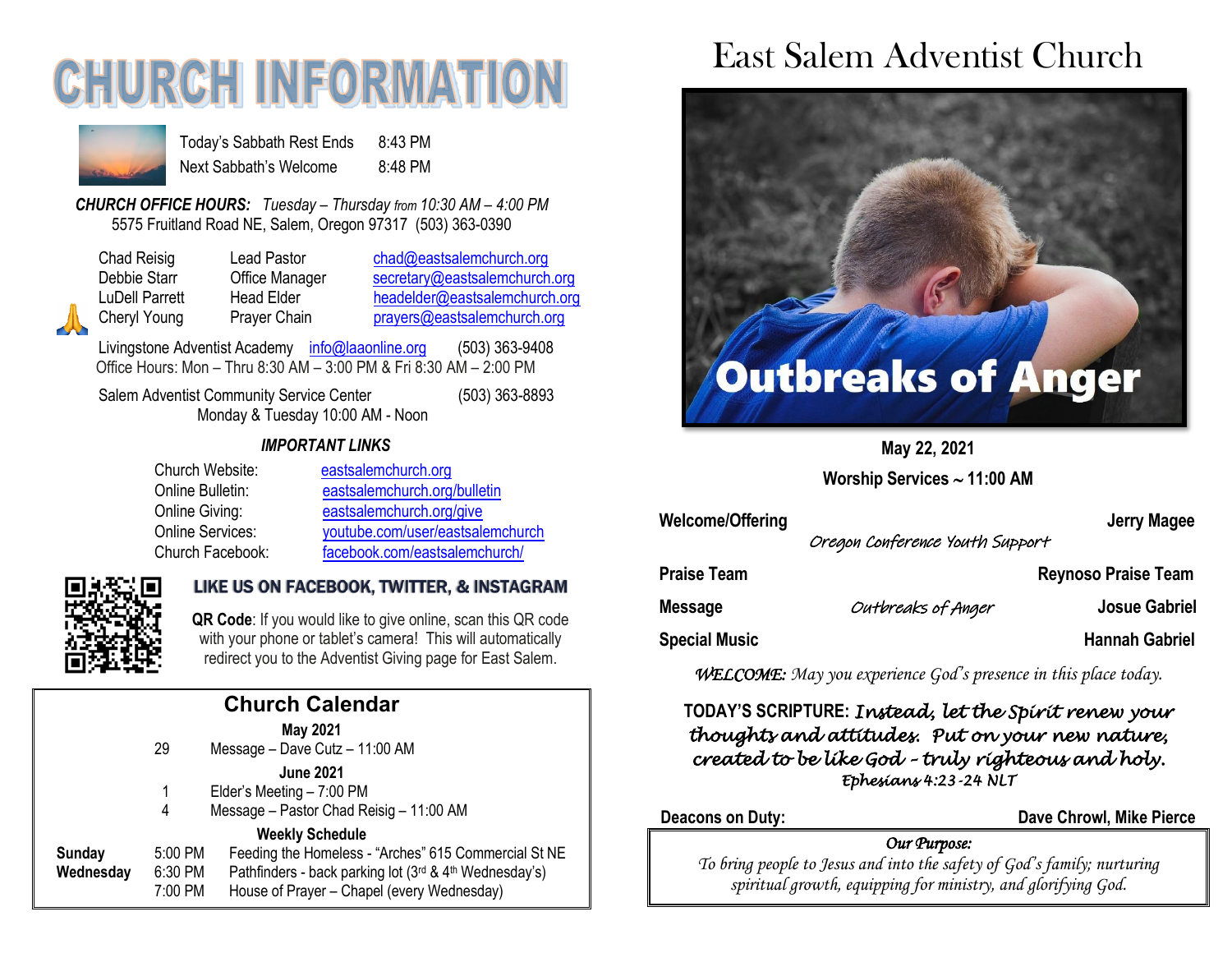# **CHURCH INFORMATI**



Today's Sabbath Rest Ends 8:43 PM Next Sabbath's Welcome 8:48 PM

*CHURCH OFFICE HOURS: Tuesday – Thursday from 10:30 AM – 4:00 PM* 5575 Fruitland Road NE, Salem, Oregon 97317 (503) 363-0390

Chad Reisig Lead Pastor [chad@eastsalemchurch.org](mailto:chad@eastsalemchurch.org) Debbie Starr Office Manager [secretary@eastsalemchurch.org](mailto:secretary@eastsalemchurch.org) LuDell Parrett Head Elder [headelder@eastsalemchurch.org](mailto:headelder@eastsalemchurch.org) Cheryl Young Prayer Chain [prayers@eastsalemchurch.org](mailto:prayers@eastsalemchurch.org)

Livingstone Adventist Academy [info@laaonline.org](mailto:info@laaonline.org) (503) 363-9408 Office Hours: Mon – Thru 8:30 AM – 3:00 PM & Fri 8:30 AM – 2:00 PM

Salem Adventist Community Service Center (503) 363-8893 Monday & Tuesday 10:00 AM - Noon

#### *IMPORTANT LINKS*

| Church Website:  | eastsalemchurch.org              |
|------------------|----------------------------------|
| Online Bulletin: | eastsalemchurch.org/bulletin     |
| Online Giving:   | eastsalemchurch.org/give         |
| Online Services: | youtube.com/user/eastsalemchurch |
| Church Facebook: | facebook.com/eastsalemchurch/    |



### LIKE US ON FACEBOOK, TWITTER, & INSTAGRAM

**QR Code**: If you would like to give online, scan this QR code with your phone or tablet's camera! This will automatically redirect you to the Adventist Giving page for East Salem.

| <b>Church Calendar</b>     |                               |                                                                                                                                                                                        |  |
|----------------------------|-------------------------------|----------------------------------------------------------------------------------------------------------------------------------------------------------------------------------------|--|
|                            | 29                            | <b>May 2021</b><br>Message - Dave Cutz - 11:00 AM                                                                                                                                      |  |
|                            | 1<br>4                        | <b>June 2021</b><br>Elder's Meeting - 7:00 PM<br>Message - Pastor Chad Reisig - 11:00 AM                                                                                               |  |
| <b>Sunday</b><br>Wednesday | 5:00 PM<br>6:30 PM<br>7:00 PM | <b>Weekly Schedule</b><br>Feeding the Homeless - "Arches" 615 Commercial St NE<br>Pathfinders - back parking lot (3rd & 4th Wednesday's)<br>House of Prayer - Chapel (every Wednesday) |  |
|                            |                               |                                                                                                                                                                                        |  |

## East Salem Adventist Church



**May 22, 2021**

**Worship Services 11:00 AM**

Welcome/Offering **Network Jerry Magee** Oregon Conference Youth Support **Praise Team Reynoso Praise Team Message** Outbreaks of Anger **Josue Gabriel Special Music Hannah Gabriel** 

*WELCOME: May you experience God's presence in this place today.*

### **TODAY'S SCRIPTURE:** *Instead, let the Spirit renew your thoughts and attitudes. Put on your new nature, created to be like God – truly righteous and holy. Ephesians 4:23-24 NLT*

**Deacons on Duty: Dave Chrowl, Mike Pierce**

### *Our Purpose:*

*To bring people to Jesus and into the safety of God's family; nurturing spiritual growth, equipping for ministry, and glorifying God.*